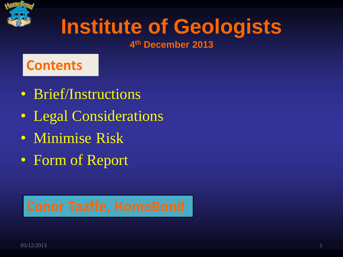

## **Institute of Geologists**

#### **4 th December 2013**

#### **Contents**

- Brief/Instructions
- Legal Considerations
- Minimise Risk
- Form of Report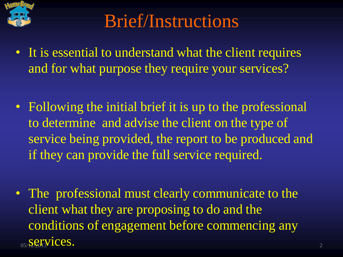

### Brief/Instructions

- It is essential to understand what the client requires and for what purpose they require your services?
- Following the initial brief it is up to the professional to determine and advise the client on the type of service being provided, the report to be produced and if they can provide the full service required.
- $\frac{1}{2}$ <sub>05/</sub> $\frac{1}{2}$ <sub>2</sub>  $\frac{1}{2}$ <sup>3</sup>  $\frac{1}{2}$   $\frac{1}{2}$   $\frac{1}{2}$   $\frac{1}{2}$   $\frac{1}{2}$   $\frac{1}{2}$   $\frac{1}{2}$   $\frac{1}{2}$   $\frac{1}{2}$   $\frac{1}{2}$   $\frac{1}{2}$   $\frac{1}{2}$   $\frac{1}{2}$   $\frac{1}{2}$   $\frac{1}{2}$   $\frac{1}{2}$   $\frac{1}{2}$   $\frac{1}{2}$  • The professional must clearly communicate to the client what they are proposing to do and the conditions of engagement before commencing any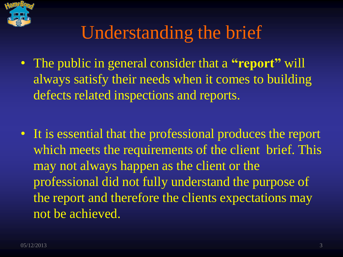

### Understanding the brief

- The public in general consider that a **"report"** will always satisfy their needs when it comes to building defects related inspections and reports.
- It is essential that the professional produces the report which meets the requirements of the client brief. This may not always happen as the client or the professional did not fully understand the purpose of the report and therefore the clients expectations may not be achieved.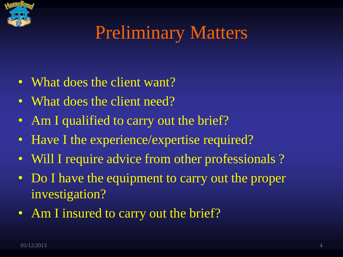

### Preliminary Matters

- What does the client want?
- What does the client need?
- Am I qualified to carry out the brief?
- Have I the experience/expertise required?
- Will I require advice from other professionals?
- Do I have the equipment to carry out the proper investigation?
- Am I insured to carry out the brief?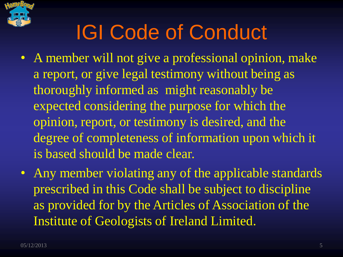

### IGI Code of Conduct

- A member will not give a professional opinion, make a report, or give legal testimony without being as thoroughly informed as might reasonably be expected considering the purpose for which the opinion, report, or testimony is desired, and the degree of completeness of information upon which it is based should be made clear.
- Any member violating any of the applicable standards prescribed in this Code shall be subject to discipline as provided for by the Articles of Association of the Institute of Geologists of Ireland Limited.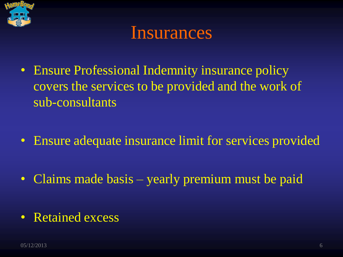

#### Insurances

- Ensure Professional Indemnity insurance policy covers the services to be provided and the work of sub-consultants
- Ensure adequate insurance limit for services provided
- Claims made basis yearly premium must be paid
- Retained excess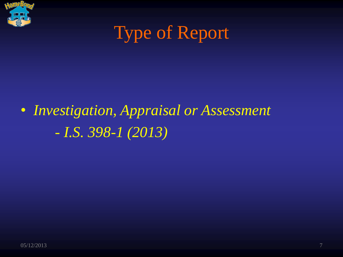

### Type of Report

### • *Investigation, Appraisal or Assessment - I.S. 398-1 (2013)*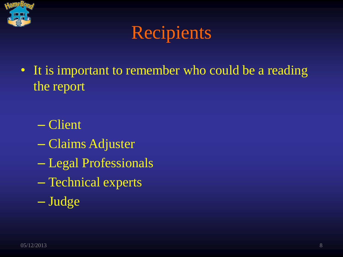

### Recipients

- It is important to remember who could be a reading the report
	- Client
	- Claims Adjuster
	- Legal Professionals
	- Technical experts
	- Judge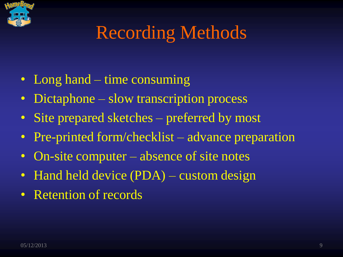

### Recording Methods

- Long hand time consuming
- Dictaphone slow transcription process
- Site prepared sketches preferred by most
- Pre-printed form/checklist advance preparation
- On-site computer absence of site notes
- Hand held device (PDA) custom design
- Retention of records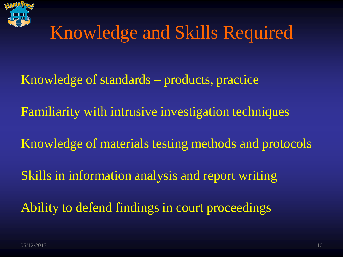

### Knowledge and Skills Required

- Knowledge of standards products, practice
- Familiarity with intrusive investigation techniques
- Knowledge of materials testing methods and protocols
- Skills in information analysis and report writing
- Ability to defend findings in court proceedings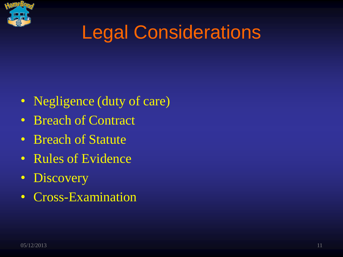

### Legal Considerations

- Negligence (duty of care)
- Breach of Contract
- Breach of Statute
- Rules of Evidence
- Discovery
- Cross-Examination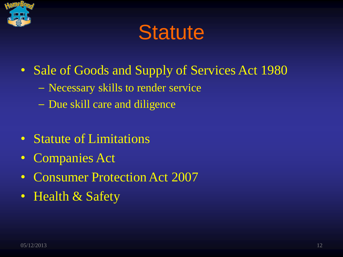

### **Statute**

- Sale of Goods and Supply of Services Act 1980
	- − Necessary skills to render service
	- − Due skill care and diligence
- Statute of Limitations
- Companies Act
- Consumer Protection Act 2007
- Health & Safety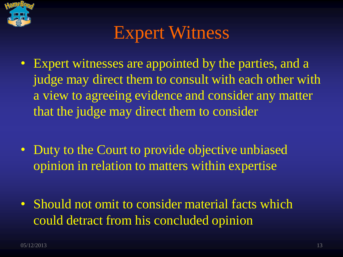

### Expert Witness

- Expert witnesses are appointed by the parties, and a judge may direct them to consult with each other with a view to agreeing evidence and consider any matter that the judge may direct them to consider
- Duty to the Court to provide objective unbiased opinion in relation to matters within expertise
- Should not omit to consider material facts which could detract from his concluded opinion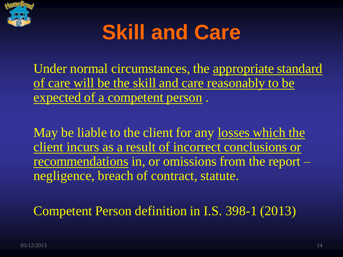

### **Skill and Care**

Under normal circumstances, the appropriate standard of care will be the skill and care reasonably to be expected of a competent person .

May be liable to the client for any losses which the client incurs as a result of incorrect conclusions or recommendations in, or omissions from the report – negligence, breach of contract, statute.

Competent Person definition in I.S. 398-1 (2013)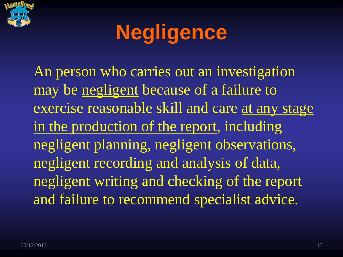

### **Negligence**

An person who carries out an investigation may be negligent because of a failure to exercise reasonable skill and care at any stage in the production of the report, including negligent planning, negligent observations, negligent recording and analysis of data, negligent writing and checking of the report and failure to recommend specialist advice.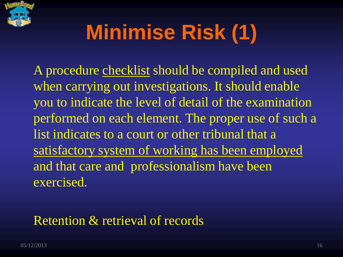

# **Minimise Risk (1)**

A procedure checklist should be compiled and used when carrying out investigations. It should enable you to indicate the level of detail of the examination performed on each element. The proper use of such a list indicates to a court or other tribunal that a satisfactory system of working has been employed and that care and professionalism have been exercised.

#### Retention & retrieval of records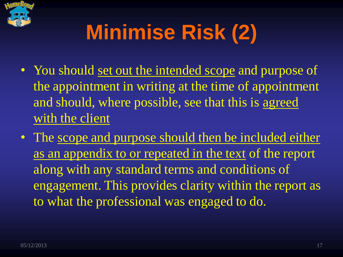

# **Minimise Risk (2)**

- You should set out the intended scope and purpose of the appointment in writing at the time of appointment and should, where possible, see that this is agreed with the client
- The scope and purpose should then be included either as an appendix to or repeated in the text of the report along with any standard terms and conditions of engagement. This provides clarity within the report as to what the professional was engaged to do.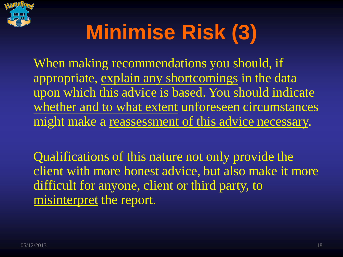

# **Minimise Risk (3)**

When making recommendations you should, if appropriate, explain any shortcomings in the data upon which this advice is based. You should indicate whether and to what extent unforeseen circumstances might make a reassessment of this advice necessary.

Qualifications of this nature not only provide the client with more honest advice, but also make it more difficult for anyone, client or third party, to misinterpret the report.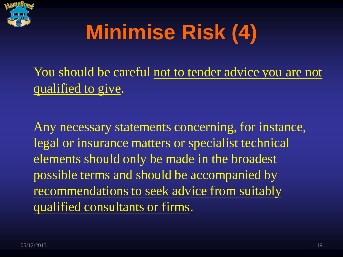

# **Minimise Risk (4)**

You should be careful not to tender advice you are not qualified to give.

Any necessary statements concerning, for instance, legal or insurance matters or specialist technical elements should only be made in the broadest possible terms and should be accompanied by recommendations to seek advice from suitably qualified consultants or firms.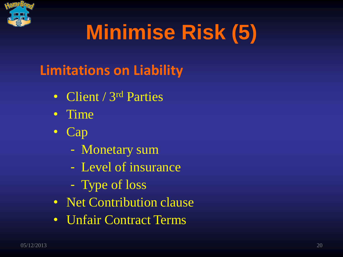

# **Minimise Risk (5)**

### **Limitations on Liability**

- Client / 3<sup>rd</sup> Parties
- Time
- Cap
	- Monetary sum
	- Level of insurance
	- Type of loss
- Net Contribution clause
- Unfair Contract Terms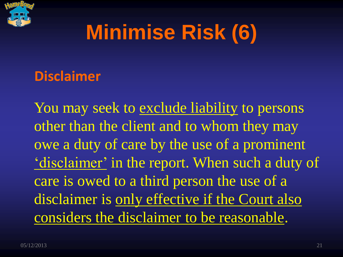

### **Minimise Risk (6)**

#### **Disclaimer**

You may seek to exclude liability to persons other than the client and to whom they may owe a duty of care by the use of a prominent 'disclaimer' in the report. When such a duty of care is owed to a third person the use of a disclaimer is only effective if the Court also considers the disclaimer to be reasonable.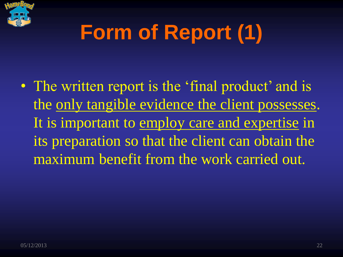

# **Form of Report (1)**

• The written report is the 'final product' and is the only tangible evidence the client possesses. It is important to employ care and expertise in its preparation so that the client can obtain the maximum benefit from the work carried out.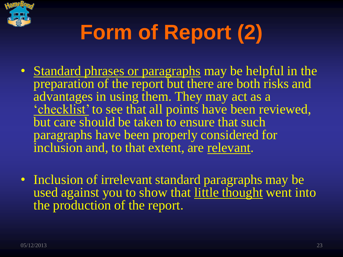

# **Form of Report (2)**

- Standard phrases or paragraphs may be helpful in the preparation of the report but there are both risks and advantages in using them. They may act as a 'checklist' to see that all points have been reviewed, but care should be taken to ensure that such paragraphs have been properly considered for inclusion and, to that extent, are relevant.
- Inclusion of irrelevant standard paragraphs may be used against you to show that little thought went into the production of the report.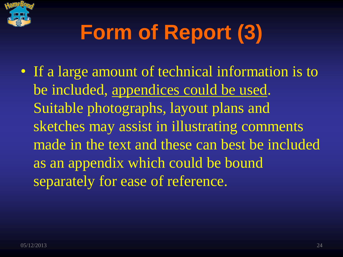

# **Form of Report (3)**

• If a large amount of technical information is to be included, appendices could be used. Suitable photographs, layout plans and sketches may assist in illustrating comments made in the text and these can best be included as an appendix which could be bound separately for ease of reference.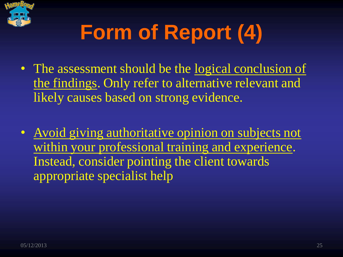

# **Form of Report (4)**

- The assessment should be the logical conclusion of the findings. Only refer to alternative relevant and likely causes based on strong evidence.
- Avoid giving authoritative opinion on subjects not within your professional training and experience. Instead, consider pointing the client towards appropriate specialist help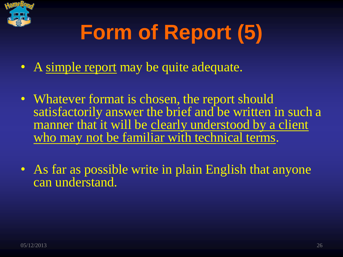

# **Form of Report (5)**

- A simple report may be quite adequate.
- Whatever format is chosen, the report should satisfactorily answer the brief and be written in such a manner that it will be clearly understood by a client who may not be familiar with technical terms.
- As far as possible write in plain English that anyone can understand.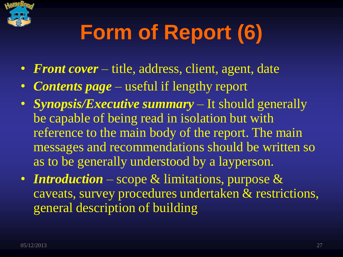

# **Form of Report (6)**

- *Front cover* title, address, client, agent, date
- *Contents page* useful if lengthy report
- *Synopsis/Executive summary –* It should generally be capable of being read in isolation but with reference to the main body of the report. The main messages and recommendations should be written so as to be generally understood by a layperson.
- *Introduction –* scope & limitations, purpose & caveats, survey procedures undertaken & restrictions, general description of building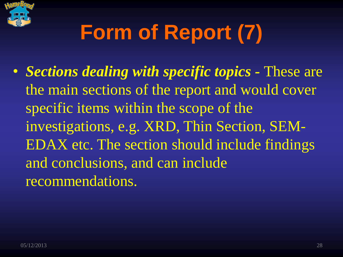

# **Form of Report (7)**

• *Sections dealing with specific topics -* These are the main sections of the report and would cover specific items within the scope of the investigations, e.g. XRD, Thin Section, SEM-EDAX etc. The section should include findings and conclusions, and can include recommendations.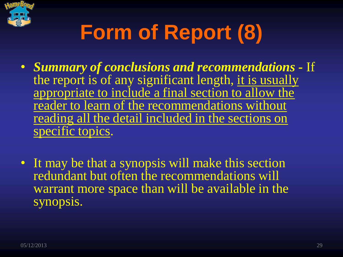

# **Form of Report (8)**

- *Summary of conclusions and recommendations -* If the report is of any significant length, it is usually appropriate to include a final section to allow the reader to learn of the recommendations without reading all the detail included in the sections on specific topics.
- It may be that a synopsis will make this section redundant but often the recommendations will warrant more space than will be available in the synopsis.